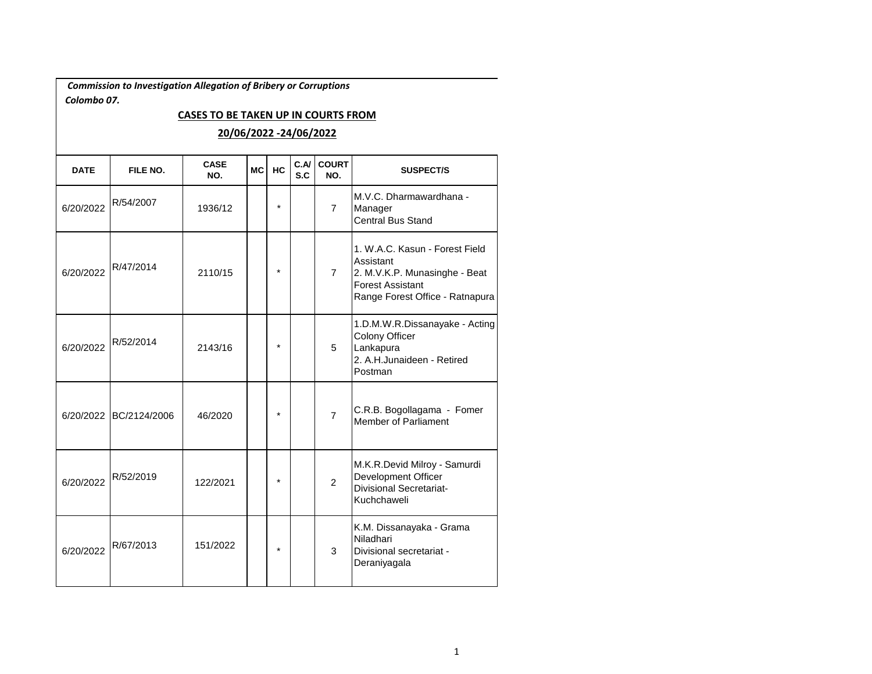*Commission to Investigation Allegation of Bribery or Corruptions Colombo 07.* 

## **CASES TO BE TAKEN UP IN COURTS FROM**

## **20/06/2022 -24/06/2022**

| <b>DATE</b> | FILE NO.     | <b>CASE</b><br>NO. | <b>MC</b> | HC      | C.M<br>S.C | <b>COURT</b><br>NO. | <b>SUSPECT/S</b>                                                                                                                           |
|-------------|--------------|--------------------|-----------|---------|------------|---------------------|--------------------------------------------------------------------------------------------------------------------------------------------|
| 6/20/2022   | R/54/2007    | 1936/12            |           | $\star$ |            | $\overline{7}$      | M.V.C. Dharmawardhana -<br>Manager<br><b>Central Bus Stand</b>                                                                             |
| 6/20/2022   | R/47/2014    | 2110/15            |           | $\star$ |            | $\overline{7}$      | 1. W.A.C. Kasun - Forest Field<br>Assistant<br>2. M.V.K.P. Munasinghe - Beat<br><b>Forest Assistant</b><br>Range Forest Office - Ratnapura |
| 6/20/2022   | R/52/2014    | 2143/16            |           | $\star$ |            | 5                   | 1.D.M.W.R.Dissanayake - Acting<br>Colony Officer<br>Lankapura<br>2. A.H.Junaideen - Retired<br>Postman                                     |
| 6/20/2022   | BC/2124/2006 | 46/2020            |           | $\star$ |            | $\overline{7}$      | C.R.B. Bogollagama - Fomer<br><b>Member of Parliament</b>                                                                                  |
| 6/20/2022   | R/52/2019    | 122/2021           |           | $\star$ |            | $\overline{2}$      | M.K.R.Devid Milroy - Samurdi<br>Development Officer<br><b>Divisional Secretariat-</b><br>Kuchchaweli                                       |
| 6/20/2022   | R/67/2013    | 151/2022           |           | $\star$ |            | 3                   | K.M. Dissanayaka - Grama<br>Niladhari<br>Divisional secretariat -<br>Deraniyagala                                                          |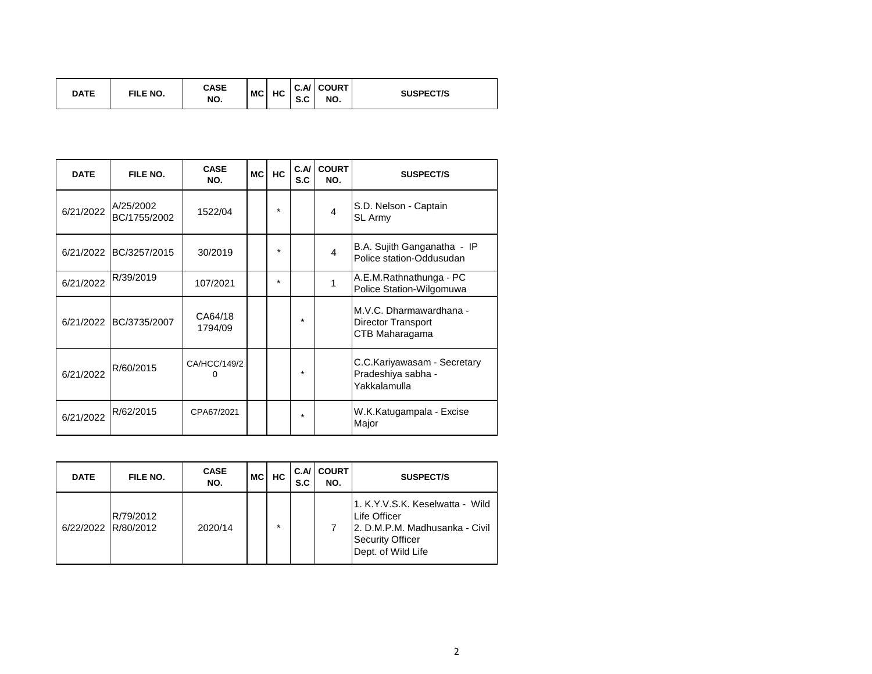| <b>DATE</b> | FILE NO. | CASE<br>NO. | <b>MC</b> | HC | <u>_</u><br>้ จ.บ | C.A/ COURT<br>NO. | <b>SUSPECT/S</b> |
|-------------|----------|-------------|-----------|----|-------------------|-------------------|------------------|
|-------------|----------|-------------|-----------|----|-------------------|-------------------|------------------|

| <b>DATE</b> | FILE NO.                  | <b>CASE</b><br>NO. | <b>MC</b> | <b>HC</b> | C.A<br>S.C | <b>COURT</b><br>NO.    | <b>SUSPECT/S</b>                                                       |
|-------------|---------------------------|--------------------|-----------|-----------|------------|------------------------|------------------------------------------------------------------------|
| 6/21/2022   | A/25/2002<br>BC/1755/2002 | 1522/04            |           | $\star$   |            | $\boldsymbol{\Lambda}$ | S.D. Nelson - Captain<br><b>SL Army</b>                                |
|             | 6/21/2022 BC/3257/2015    | 30/2019            |           | $\star$   |            | 4                      | B.A. Sujith Ganganatha - IP<br>Police station-Oddusudan                |
| 6/21/2022   | R/39/2019                 | 107/2021           |           | $\star$   |            |                        | A.E.M.Rathnathunga - PC<br>Police Station-Wilgomuwa                    |
|             | 6/21/2022 BC/3735/2007    | CA64/18<br>1794/09 |           |           | $\star$    |                        | M.V.C. Dharmawardhana -<br><b>Director Transport</b><br>CTB Maharagama |
| 6/21/2022   | R/60/2015                 | CA/HCC/149/2       |           |           | $\star$    |                        | C.C.Kariyawasam - Secretary<br>Pradeshiya sabha -<br>Yakkalamulla      |
| 6/21/2022   | R/62/2015                 | CPA67/2021         |           |           | $\star$    |                        | W.K.Katugampala - Excise<br>Major                                      |

| <b>DATE</b>         | FILE NO.  | <b>CASE</b><br>NO. | <b>MC</b> | HC.     | C.A/ I<br>S.C | <b>COURT</b><br>NO. | <b>SUSPECT/S</b>                                                                                                                    |
|---------------------|-----------|--------------------|-----------|---------|---------------|---------------------|-------------------------------------------------------------------------------------------------------------------------------------|
| 6/22/2022 R/80/2012 | R/79/2012 | 2020/14            |           | $\star$ |               |                     | 1. K.Y.V.S.K. Keselwatta - Wild<br>Life Officer<br>12. D.M.P.M. Madhusanka - Civil<br><b>Security Officer</b><br>Dept. of Wild Life |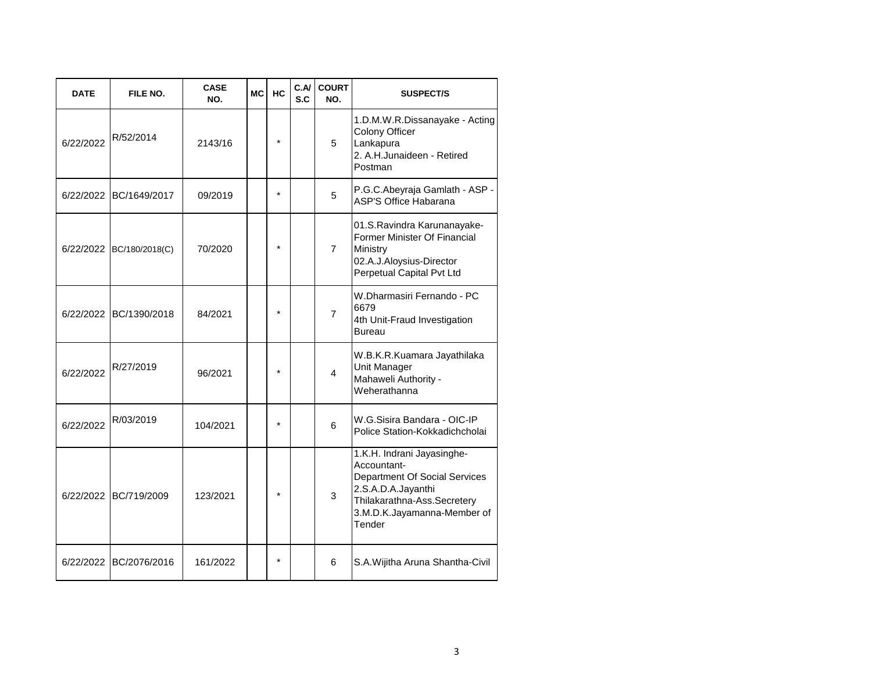| <b>DATE</b> | FILE NO.               | <b>CASE</b><br>NO. | МC | <b>HC</b> | C.A/<br>S.C | <b>COURT</b><br>NO. | <b>SUSPECT/S</b>                                                                                                                                                         |
|-------------|------------------------|--------------------|----|-----------|-------------|---------------------|--------------------------------------------------------------------------------------------------------------------------------------------------------------------------|
| 6/22/2022   | R/52/2014              | 2143/16            |    | $\star$   |             | 5                   | 1.D.M.W.R.Dissanayake - Acting<br>Colony Officer<br>Lankapura<br>2. A.H.Junaideen - Retired<br>Postman                                                                   |
| 6/22/2022   | BC/1649/2017           | 09/2019            |    | $\star$   |             | 5                   | P.G.C.Abeyraja Gamlath - ASP -<br><b>ASP'S Office Habarana</b>                                                                                                           |
| 6/22/2022   | BC/180/2018(C)         | 70/2020            |    | $\star$   |             | $\overline{7}$      | 01.S.Ravindra Karunanayake-<br>Former Minister Of Financial<br>Ministry<br>02.A.J.Aloysius-Director<br>Perpetual Capital Pvt Ltd                                         |
|             | 6/22/2022 BC/1390/2018 | 84/2021            |    | ÷         |             | $\overline{7}$      | W.Dharmasiri Fernando - PC<br>6679<br>4th Unit-Fraud Investigation<br><b>Bureau</b>                                                                                      |
| 6/22/2022   | R/27/2019              | 96/2021            |    |           |             | $\overline{4}$      | W.B.K.R.Kuamara Jayathilaka<br>Unit Manager<br>Mahaweli Authority -<br>Weherathanna                                                                                      |
| 6/22/2022   | R/03/2019              | 104/2021           |    | $\star$   |             | 6                   | W.G.Sisira Bandara - OIC-IP<br>Police Station-Kokkadichcholai                                                                                                            |
| 6/22/2022   | BC/719/2009            | 123/2021           |    | $\star$   |             | 3                   | 1.K.H. Indrani Jayasinghe-<br>Accountant-<br>Department Of Social Services<br>2.S.A.D.A.Jayanthi<br>Thilakarathna-Ass.Secretery<br>3.M.D.K.Jayamanna-Member of<br>Tender |
| 6/22/2022   | BC/2076/2016           | 161/2022           |    | $\star$   |             | 6                   | S.A.Wijitha Aruna Shantha-Civil                                                                                                                                          |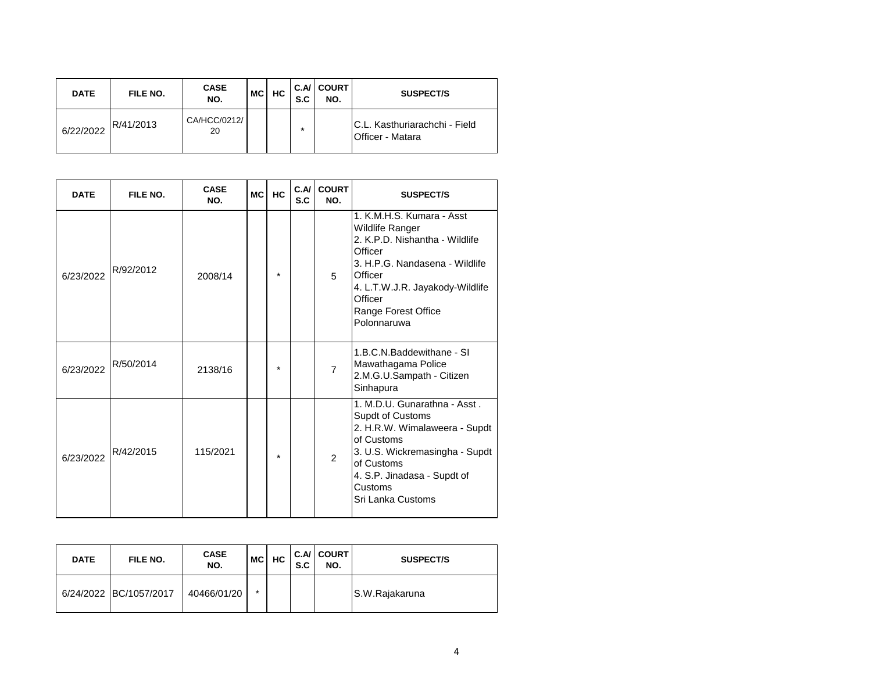| <b>DATE</b> | FILE NO.  | <b>CASE</b><br>NO. | МC | HC. | S.C | C.A/ COURT<br>NO. | <b>SUSPECT/S</b>                                          |
|-------------|-----------|--------------------|----|-----|-----|-------------------|-----------------------------------------------------------|
| 6/22/2022   | R/41/2013 | CA/HCC/0212/<br>20 |    |     | ÷   |                   | IC.L. Kasthuriarachchi - Field<br><b>Officer - Matara</b> |

| <b>DATE</b> | FILE NO.  | <b>CASE</b><br>NO. | <b>MC</b> | <b>HC</b> | C.A<br>S.C | <b>COURT</b><br>NO. | <b>SUSPECT/S</b>                                                                                                                                                                                                                  |
|-------------|-----------|--------------------|-----------|-----------|------------|---------------------|-----------------------------------------------------------------------------------------------------------------------------------------------------------------------------------------------------------------------------------|
| 6/23/2022   | R/92/2012 | 2008/14            |           | $\star$   |            | 5                   | 1. K.M.H.S. Kumara - Asst<br><b>Wildlife Ranger</b><br>2. K.P.D. Nishantha - Wildlife<br>Officer<br>3. H.P.G. Nandasena - Wildlife<br>Officer<br>4. L.T.W.J.R. Jayakody-Wildlife<br>Officer<br>Range Forest Office<br>Polonnaruwa |
| 6/23/2022   | R/50/2014 | 2138/16            |           | $\star$   |            | $\overline{7}$      | 1.B.C.N.Baddewithane - SI<br>Mawathagama Police<br>2.M.G.U.Sampath - Citizen<br>Sinhapura                                                                                                                                         |
| 6/23/2022   | R/42/2015 | 115/2021           |           | $\star$   |            | $\mathcal{P}$       | 1. M.D.U. Gunarathna - Asst.<br>Supdt of Customs<br>2. H.R.W. Wimalaweera - Supdt<br>of Customs<br>3. U.S. Wickremasingha - Supdt<br>of Customs<br>4. S.P. Jinadasa - Supdt of<br>Customs<br>Sri Lanka Customs                    |

| <b>DATE</b> | FILE NO.               | <b>CASE</b><br>NO. | MCI    | HC. | S.C | <b>C.A/ COURT</b><br>NO. | <b>SUSPECT/S</b> |
|-------------|------------------------|--------------------|--------|-----|-----|--------------------------|------------------|
|             | 6/24/2022 BC/1057/2017 | 40466/01/20        | $\ast$ |     |     |                          | S.W.Rajakaruna   |